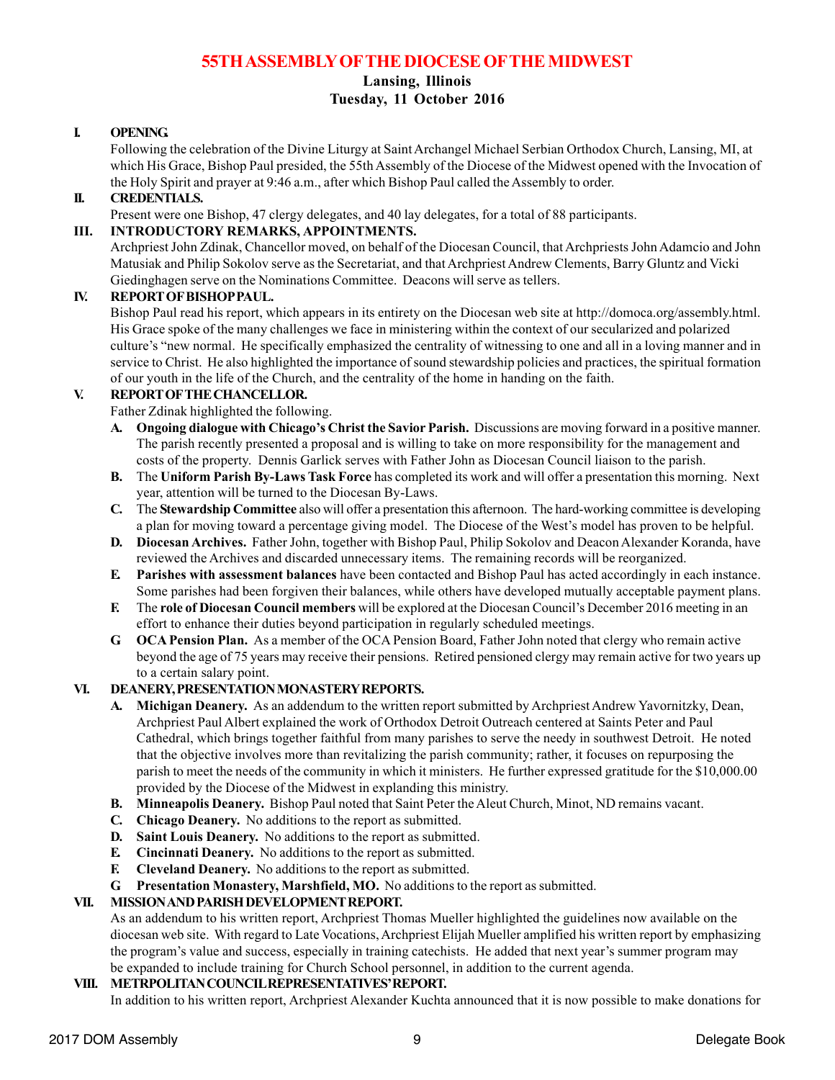# **55TH ASSEMBLY OFTHE DIOCESE OFTHE MIDWEST**

## **Lansing, Illinois Tuesday, 11 October 2016**

# **I. OPENING.**

Following the celebration of the Divine Liturgy at Saint Archangel Michael Serbian Orthodox Church, Lansing, MI, at which His Grace, Bishop Paul presided, the 55th Assembly of the Diocese of the Midwest opened with the Invocation of the Holy Spirit and prayer at 9:46 a.m., after which Bishop Paul called the Assembly to order.

## **II. CREDENTIALS.**

Present were one Bishop, 47 clergy delegates, and 40 lay delegates, for a total of 88 participants.

# **III. INTRODUCTORY REMARKS, APPOINTMENTS.**

Archpriest John Zdinak, Chancellor moved, on behalf of the Diocesan Council, that Archpriests John Adamcio and John Matusiak and Philip Sokolov serve as the Secretariat, and that Archpriest Andrew Clements, Barry Gluntz and Vicki Giedinghagen serve on the Nominations Committee. Deacons will serve as tellers.

## **IV. REPORT OF BISHOP PAUL.**

Bishop Paul read his report, which appears in its entirety on the Diocesan web site at http://domoca.org/assembly.html. His Grace spoke of the many challenges we face in ministering within the context of our secularized and polarized culture's "new normal. He specifically emphasized the centrality of witnessing to one and all in a loving manner and in service to Christ. He also highlighted the importance of sound stewardship policies and practices, the spiritual formation of our youth in the life of the Church, and the centrality of the home in handing on the faith.

## **V. REPORT OF THE CHANCELLOR.**

Father Zdinak highlighted the following.

- **A. Ongoing dialogue with Chicago's Christ the Savior Parish.** Discussions are moving forward in a positive manner. The parish recently presented a proposal and is willing to take on more responsibility for the management and costs of the property. Dennis Garlick serves with Father John as Diocesan Council liaison to the parish.
- **B.** The **Uniform Parish By-Laws Task Force** has completed its work and will offer a presentation this morning. Next year, attention will be turned to the Diocesan By-Laws.
- **C.** The **Stewardship Committee** also will offer a presentation this afternoon. The hard-working committee is developing a plan for moving toward a percentage giving model. The Diocese of the West's model has proven to be helpful.
- **D. Diocesan Archives.** Father John, together with Bishop Paul, Philip Sokolov and Deacon Alexander Koranda, have reviewed the Archives and discarded unnecessary items. The remaining records will be reorganized.
- **E. Parishes with assessment balances** have been contacted and Bishop Paul has acted accordingly in each instance. Some parishes had been forgiven their balances, while others have developed mutually acceptable payment plans.
- **F.** The **role of Diocesan Council members** will be explored at the Diocesan Council's December 2016 meeting in an effort to enhance their duties beyond participation in regularly scheduled meetings.
- **G. OCA Pension Plan.** As a member of the OCA Pension Board, Father John noted that clergy who remain active beyond the age of 75 years may receive their pensions. Retired pensioned clergy may remain active for two years up to a certain salary point.

## **VI. DEANERY, PRESENTATION MONASTERY REPORTS.**

- **A. Michigan Deanery.** As an addendum to the written report submitted by Archpriest Andrew Yavornitzky, Dean, Archpriest Paul Albert explained the work of Orthodox Detroit Outreach centered at Saints Peter and Paul Cathedral, which brings together faithful from many parishes to serve the needy in southwest Detroit. He noted that the objective involves more than revitalizing the parish community; rather, it focuses on repurposing the parish to meet the needs of the community in which it ministers. He further expressed gratitude for the \$10,000.00 provided by the Diocese of the Midwest in explanding this ministry.
- **B. Minneapolis Deanery.** Bishop Paul noted that Saint Peter the Aleut Church, Minot, ND remains vacant.
- **C. Chicago Deanery.** No additions to the report as submitted.
- **D. Saint Louis Deanery.** No additions to the report as submitted.
- **E. Cincinnati Deanery.** No additions to the report as submitted.
- **F. Cleveland Deanery.** No additions to the report as submitted.
- **G. Presentation Monastery, Marshfield, MO.** No additions to the report as submitted.

# **VII. MISSION AND PARISH DEVELOPMENT REPORT.**

As an addendum to his written report, Archpriest Thomas Mueller highlighted the guidelines now available on the diocesan web site. With regard to Late Vocations, Archpriest Elijah Mueller amplified his written report by emphasizing the program's value and success, especially in training catechists. He added that next year's summer program may be expanded to include training for Church School personnel, in addition to the current agenda.

## **VIII. METRPOLITAN COUNCIL REPRESENTATIVES' REPORT.**

In addition to his written report, Archpriest Alexander Kuchta announced that it is now possible to make donations for